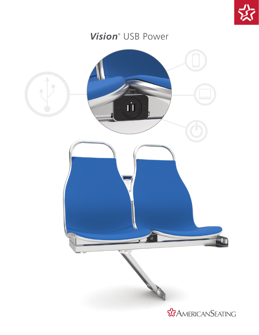

## *Vision*® USB Power